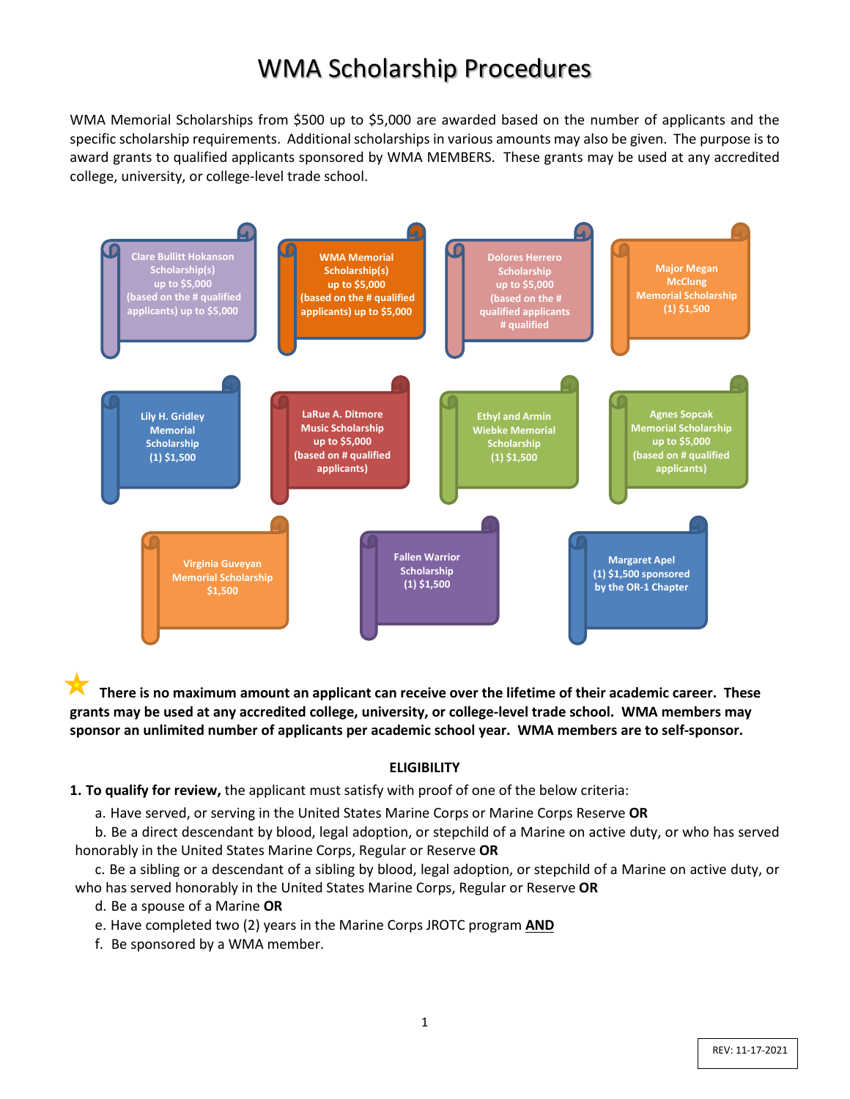# WMA Scholarship Procedures

WMA Memorial Scholarships from \$500 up to \$5,000 are awarded based on the number of applicants and the specific scholarship requirements. Additional scholarships in various amounts may also be given. The purpose is to award grants to qualified applicants sponsored by WMA MEMBERS. These grants may be used at any accredited college, university, or college-level trade school.



**There is no maximum amount an applicant can receive over the lifetime of their academic career. These grants may be used at any accredited college, university, or college-level trade school. WMA members may sponsor an unlimited number of applicants per academic school year. WMA members are to self-sponsor.** 

#### **ELIGIBILITY**

**1. To qualify for review,** the applicant must satisfy with proof of one of the below criteria:

a. Have served, or serving in the United States Marine Corps or Marine Corps Reserve **OR**

b. Be a direct descendant by blood, legal adoption, or stepchild of a Marine on active duty, or who has served honorably in the United States Marine Corps, Regular or Reserve **OR**

c. Be a sibling or a descendant of a sibling by blood, legal adoption, or stepchild of a Marine on active duty, or who has served honorably in the United States Marine Corps, Regular or Reserve **OR**

- d. Be a spouse of a Marine **OR**
- e. Have completed two (2) years in the Marine Corps JROTC program **AND**
- f. Be sponsored by a WMA member.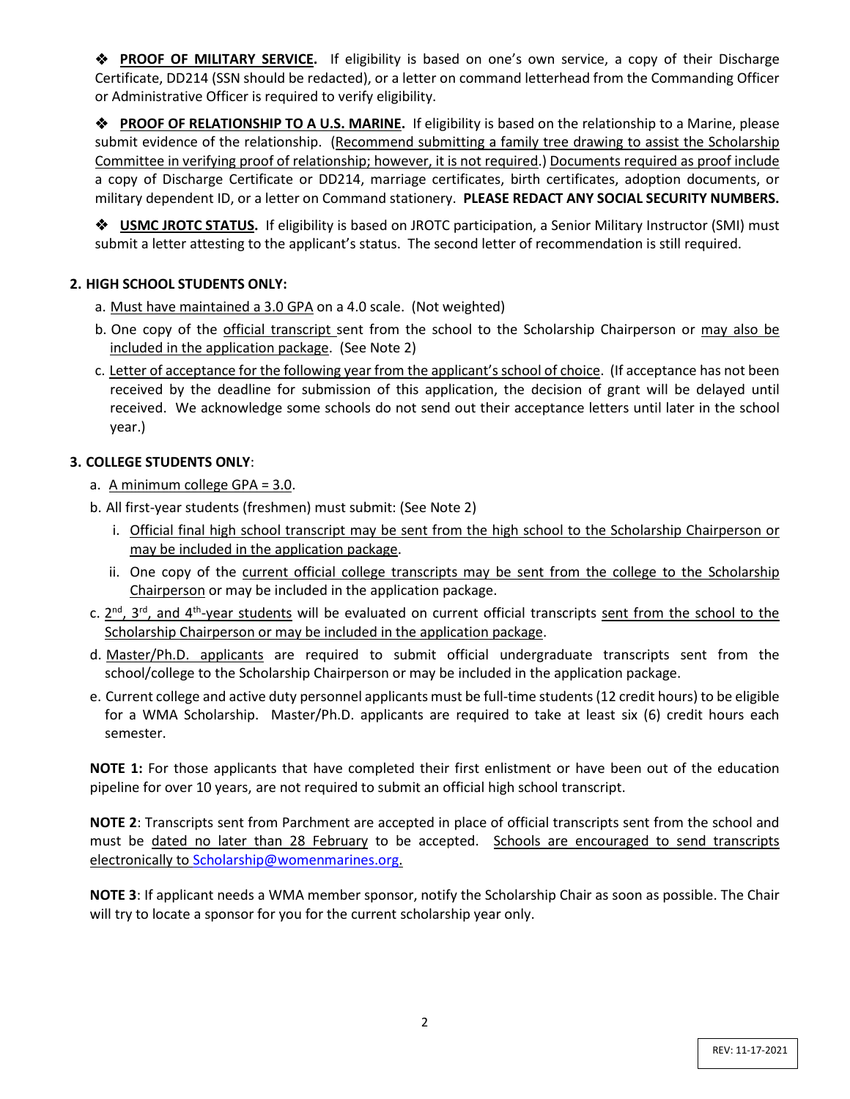**PROOF OF MILITARY SERVICE.** If eligibility is based on one's own service, a copy of their Discharge Certificate, DD214 (SSN should be redacted), or a letter on command letterhead from the Commanding Officer or Administrative Officer is required to verify eligibility.

 **PROOF OF RELATIONSHIP TO A U.S. MARINE.** If eligibility is based on the relationship to a Marine, please submit evidence of the relationship. (Recommend submitting a family tree drawing to assist the Scholarship Committee in verifying proof of relationship; however, it is not required.) Documents required as proof include a copy of Discharge Certificate or DD214, marriage certificates, birth certificates, adoption documents, or military dependent ID, or a letter on Command stationery. **PLEASE REDACT ANY SOCIAL SECURITY NUMBERS.**

**◆ USMC JROTC STATUS.** If eligibility is based on JROTC participation, a Senior Military Instructor (SMI) must submit a letter attesting to the applicant's status. The second letter of recommendation is still required.

# **2. HIGH SCHOOL STUDENTS ONLY:**

- a. Must have maintained a 3.0 GPA on a 4.0 scale. (Not weighted)
- b. One copy of the official transcript sent from the school to the Scholarship Chairperson or may also be included in the application package. (See Note 2)
- c. Letter of acceptance for the following year from the applicant's school of choice. (If acceptance has not been received by the deadline for submission of this application, the decision of grant will be delayed until received. We acknowledge some schools do not send out their acceptance letters until later in the school year.)

## **3. COLLEGE STUDENTS ONLY**:

- a. A minimum college GPA = 3.0.
- b. All first-year students (freshmen) must submit: (See Note 2)
	- i. Official final high school transcript may be sent from the high school to the Scholarship Chairperson or may be included in the application package.
	- ii. One copy of the current official college transcripts may be sent from the college to the Scholarship Chairperson or may be included in the application package.
- c.  $2^{nd}$ ,  $3^{rd}$ , and  $4^{th}$ -year students will be evaluated on current official transcripts sent from the school to the Scholarship Chairperson or may be included in the application package.
- d. Master/Ph.D. applicants are required to submit official undergraduate transcripts sent from the school/college to the Scholarship Chairperson or may be included in the application package.
- e. Current college and active duty personnel applicants must be full-time students (12 credit hours) to be eligible for a WMA Scholarship. Master/Ph.D. applicants are required to take at least six (6) credit hours each semester.

**NOTE 1:** For those applicants that have completed their first enlistment or have been out of the education pipeline for over 10 years, are not required to submit an official high school transcript.

**NOTE 2**: Transcripts sent from Parchment are accepted in place of official transcripts sent from the school and must be dated no later than 28 February to be accepted. Schools are encouraged to send transcripts electronically to [Scholarship@womenmarines.org.](mailto:Scholarship@womenmarines.org)

**NOTE 3**: If applicant needs a WMA member sponsor, notify the Scholarship Chair as soon as possible. The Chair will try to locate a sponsor for you for the current scholarship year only.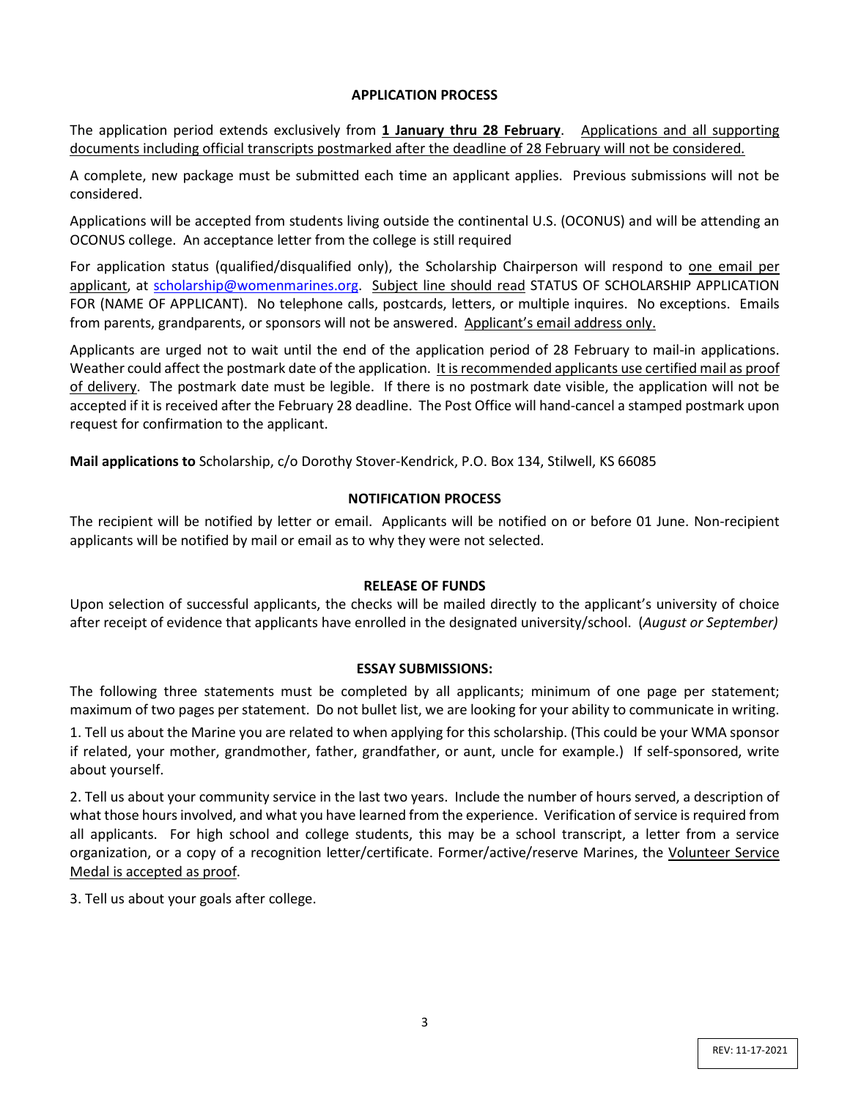#### **APPLICATION PROCESS**

The application period extends exclusively from **1 January thru 28 February**. Applications and all supporting documents including official transcripts postmarked after the deadline of 28 February will not be considered.

A complete, new package must be submitted each time an applicant applies. Previous submissions will not be considered.

Applications will be accepted from students living outside the continental U.S. (OCONUS) and will be attending an OCONUS college. An acceptance letter from the college is still required

For application status (qualified/disqualified only), the Scholarship Chairperson will respond to one email per applicant, at [scholarship@womenmarines.org.](mailto:scholarship@womenmarines.org) Subject line should read STATUS OF SCHOLARSHIP APPLICATION FOR (NAME OF APPLICANT). No telephone calls, postcards, letters, or multiple inquires. No exceptions. Emails from parents, grandparents, or sponsors will not be answered. Applicant's email address only.

Applicants are urged not to wait until the end of the application period of 28 February to mail-in applications. Weather could affect the postmark date of the application. It is recommended applicants use certified mail as proof of delivery. The postmark date must be legible. If there is no postmark date visible, the application will not be accepted if it is received after the February 28 deadline. The Post Office will hand-cancel a stamped postmark upon request for confirmation to the applicant.

**Mail applications to** Scholarship, c/o Dorothy Stover-Kendrick, P.O. Box 134, Stilwell, KS 66085

## **NOTIFICATION PROCESS**

The recipient will be notified by letter or email. Applicants will be notified on or before 01 June. Non-recipient applicants will be notified by mail or email as to why they were not selected.

### **RELEASE OF FUNDS**

Upon selection of successful applicants, the checks will be mailed directly to the applicant's university of choice after receipt of evidence that applicants have enrolled in the designated university/school. (*August or September)*

### **ESSAY SUBMISSIONS:**

The following three statements must be completed by all applicants; minimum of one page per statement; maximum of two pages per statement. Do not bullet list, we are looking for your ability to communicate in writing.

1. Tell us about the Marine you are related to when applying for this scholarship. (This could be your WMA sponsor if related, your mother, grandmother, father, grandfather, or aunt, uncle for example.) If self-sponsored, write about yourself.

2. Tell us about your community service in the last two years. Include the number of hours served, a description of what those hours involved, and what you have learned from the experience. Verification of service is required from all applicants. For high school and college students, this may be a school transcript, a letter from a service organization, or a copy of a recognition letter/certificate. Former/active/reserve Marines, the Volunteer Service Medal is accepted as proof.

3. Tell us about your goals after college.